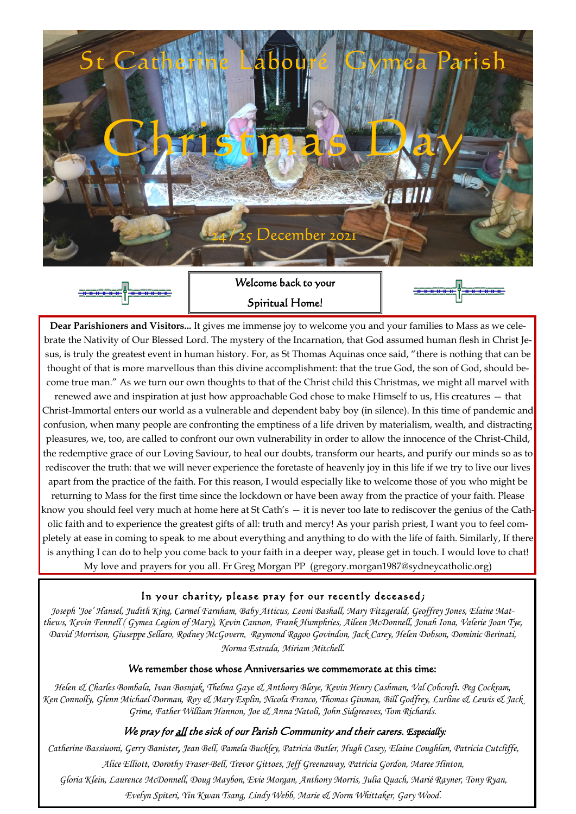Welcome back to your Spiritual Home!



*Joseph 'Joe' Hansel, Judith King, Carmel Farnham, Baby Atticus, Leoni Bashall, Mary Fitzgerald, Geoffrey Jones, Elaine Mat-*

*thews, Kevin Fennell ( Gymea Legion of Mary), Kevin Cannon, Frank Humphries, Aileen McDonnell, Jonah Iona, Valerie Joan Tye, David Morrison, Giuseppe Sellaro, Rodney McGovern, Raymond Ragoo Govindon, Jack Carey, Helen Dobson, Dominic Berinati, Norma Estrada, Miriam Mitchell.*

#### We remember those whose Anniversaries we commemorate at this time:

*Helen & Charles Bombala, Ivan Bosnjak, Thelma Gaye & Anthony Bloye, Kevin Henry Cashman, Val Cobcroft. Peg Cockram, Ken Connolly, Glenn Michael Dorman, Roy & Mary Esplin, Nicola Franco, Thomas Ginman, Bill Godfrey, Lurline & Lewis & Jack Grime, Father William Hannon, Joe & Anna Natoli, John Sidgreaves, Tom Richards.*

#### We pray for <u>all</u> the sick of our Parish Community and their carers. *Especially*:

*Catherine Bassiuoni, Gerry Banister, Jean Bell, Pamela Buckley, Patricia Butler, Hugh Casey, Elaine Coughlan, Patricia Cutcliffe, Alice Elliott, Dorothy Fraser-Bell, Trevor Gittoes, Jeff Greenaway, Patricia Gordon, Maree Hinton, Gloria Klein, Laurence McDonnell, Doug Maybon, Evie Morgan, Anthony Morris, Julia Quach, Marié Rayner, Tony Ryan, Evelyn Spiteri, Yin Kwan Tsang, Lindy Webb, Marie & Norm Whittaker, Gary Wood.*





**Dear Parishioners and Visitors...** It gives me immense joy to welcome you and your families to Mass as we celebrate the Nativity of Our Blessed Lord. The mystery of the Incarnation, that God assumed human flesh in Christ Jesus, is truly the greatest event in human history. For, as St Thomas Aquinas once said, "there is nothing that can be thought of that is more marvellous than this divine accomplishment: that the true God, the son of God, should become true man." As we turn our own thoughts to that of the Christ child this Christmas, we might all marvel with renewed awe and inspiration at just how approachable God chose to make Himself to us, His creatures — that Christ-Immortal enters our world as a vulnerable and dependent baby boy (in silence). In this time of pandemic and confusion, when many people are confronting the emptiness of a life driven by materialism, wealth, and distracting pleasures, we, too, are called to confront our own vulnerability in order to allow the innocence of the Christ-Child, the redemptive grace of our Loving Saviour, to heal our doubts, transform our hearts, and purify our minds so as to rediscover the truth: that we will never experience the foretaste of heavenly joy in this life if we try to live our lives apart from the practice of the faith. For this reason, I would especially like to welcome those of you who might be returning to Mass for the first time since the lockdown or have been away from the practice of your faith. Please know you should feel very much at home here at St Cath's — it is never too late to rediscover the genius of the Catholic faith and to experience the greatest gifts of all: truth and mercy! As your parish priest, I want you to feel completely at ease in coming to speak to me about everything and anything to do with the life of faith. Similarly, If there is anything I can do to help you come back to your faith in a deeper way, please get in touch. I would love to chat! My love and prayers for you all. Fr Greg Morgan PP (gregory.morgan1987@sydneycatholic.org)

### In your charity, please pray for our recently deceased;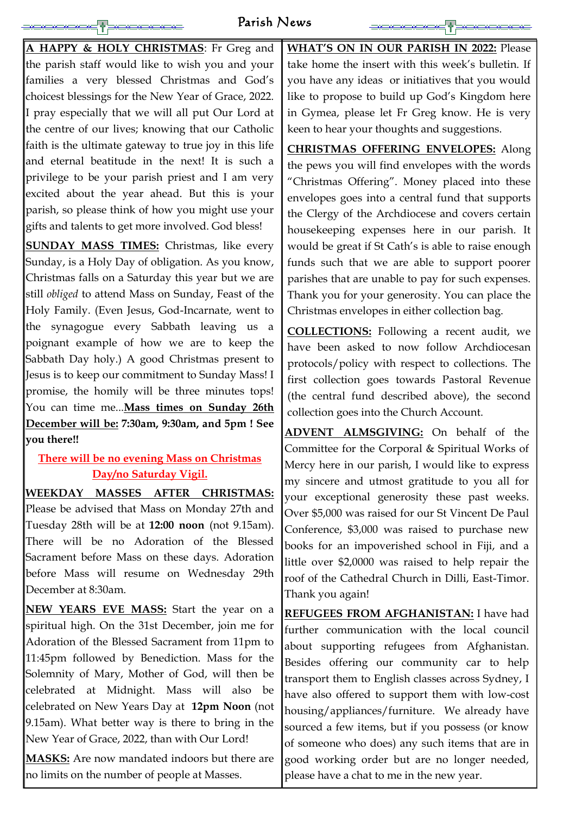# Parish News

**A HAPPY & HOLY CHRISTMAS**: Fr Greg and the parish staff would like to wish you and your families a very blessed Christmas and God's choicest blessings for the New Year of Grace, 2022. I pray especially that we will all put Our Lord at the centre of our lives; knowing that our Catholic faith is the ultimate gateway to true joy in this life and eternal beatitude in the next! It is such a privilege to be your parish priest and I am very excited about the year ahead. But this is your parish, so please think of how you might use your gifts and talents to get more involved. God bless!

**SUNDAY MASS TIMES:** Christmas, like every Sunday, is a Holy Day of obligation. As you know, Christmas falls on a Saturday this year but we are still *obliged* to attend Mass on Sunday, Feast of the Holy Family. (Even Jesus, God-Incarnate, went to the synagogue every Sabbath leaving us a poignant example of how we are to keep the Sabbath Day holy.) A good Christmas present to Jesus is to keep our commitment to Sunday Mass! I promise, the homily will be three minutes tops! You can time me...**Mass times on Sunday 26th December will be: 7:30am, 9:30am, and 5pm ! See you there!!**

# **There will be no evening Mass on Christmas Day/no Saturday Vigil.**

**WEEKDAY MASSES AFTER CHRISTMAS:** 

Please be advised that Mass on Monday 27th and Tuesday 28th will be at **12:00 noon** (not 9.15am). There will be no Adoration of the Blessed Sacrament before Mass on these days. Adoration before Mass will resume on Wednesday 29th December at 8:30am.

**NEW YEARS EVE MASS:** Start the year on a

spiritual high. On the 31st December, join me for Adoration of the Blessed Sacrament from 11pm to 11:45pm followed by Benediction. Mass for the Solemnity of Mary, Mother of God, will then be celebrated at Midnight. Mass will also be celebrated on New Years Day at **12pm Noon** (not 9.15am). What better way is there to bring in the New Year of Grace, 2022, than with Our Lord! **MASKS:** Are now mandated indoors but there are no limits on the number of people at Masses.

**WHAT'S ON IN OUR PARISH IN 2022:** Please take home the insert with this week's bulletin. If you have any ideas or initiatives that you would like to propose to build up God's Kingdom here in Gymea, please let Fr Greg know. He is very keen to hear your thoughts and suggestions.

**CHRISTMAS OFFERING ENVELOPES:** Along the pews you will find envelopes with the words "Christmas Offering". Money placed into these envelopes goes into a central fund that supports the Clergy of the Archdiocese and covers certain housekeeping expenses here in our parish. It would be great if St Cath's is able to raise enough funds such that we are able to support poorer parishes that are unable to pay for such expenses. Thank you for your generosity. You can place the Christmas envelopes in either collection bag.

**COLLECTIONS:** Following a recent audit, we have been asked to now follow Archdiocesan protocols/policy with respect to collections. The first collection goes towards Pastoral Revenue (the central fund described above), the second collection goes into the Church Account.

**ADVENT ALMSGIVING:** On behalf of the Committee for the Corporal & Spiritual Works of Mercy here in our parish, I would like to express my sincere and utmost gratitude to you all for your exceptional generosity these past weeks. Over \$5,000 was raised for our St Vincent De Paul Conference, \$3,000 was raised to purchase new books for an impoverished school in Fiji, and a little over \$2,0000 was raised to help repair the roof of the Cathedral Church in Dilli, East-Timor. Thank you again!

**REFUGEES FROM AFGHANISTAN:** I have had

further communication with the local council about supporting refugees from Afghanistan. Besides offering our community car to help transport them to English classes across Sydney, I have also offered to support them with low-cost housing/appliances/furniture. We already have sourced a few items, but if you possess (or know of someone who does) any such items that are in good working order but are no longer needed, please have a chat to me in the new year.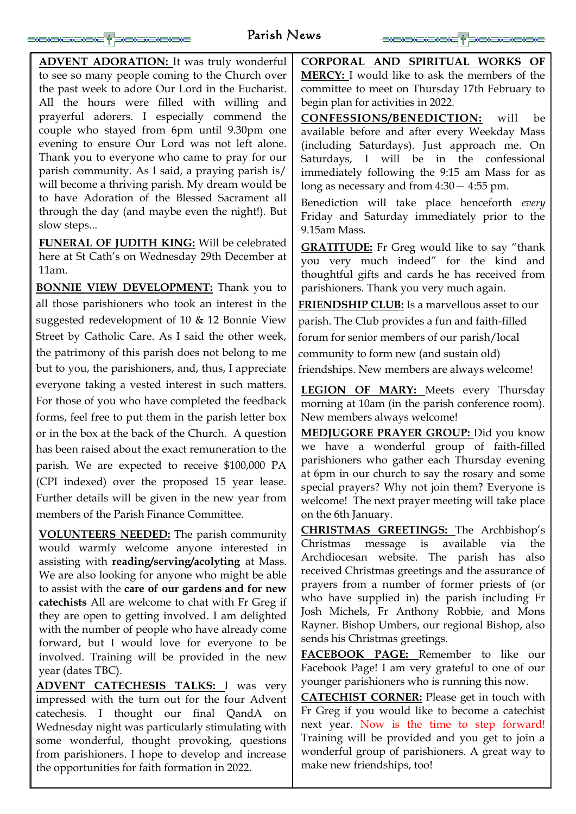# Parish News

**ADVENT ADORATION:** It was truly wonderful to see so many people coming to the Church over the past week to adore Our Lord in the Eucharist. All the hours were filled with willing and prayerful adorers. I especially commend the couple who stayed from 6pm until 9.30pm one evening to ensure Our Lord was not left alone. Thank you to everyone who came to pray for our parish community. As I said, a praying parish is/ will become a thriving parish. My dream would be to have Adoration of the Blessed Sacrament all through the day (and maybe even the night!). But slow steps...

**FUNERAL OF JUDITH KING:** Will be celebrated here at St Cath's on Wednesday 29th December at 11am.

**BONNIE VIEW DEVELOPMENT:** Thank you to all those parishioners who took an interest in the suggested redevelopment of 10 & 12 Bonnie View Street by Catholic Care. As I said the other week, the patrimony of this parish does not belong to me but to you, the parishioners, and, thus, I appreciate everyone taking a vested interest in such matters. For those of you who have completed the feedback forms, feel free to put them in the parish letter box or in the box at the back of the Church. A question has been raised about the exact remuneration to the parish. We are expected to receive \$100,000 PA (CPI indexed) over the proposed 15 year lease. Further details will be given in the new year from members of the Parish Finance Committee.

**VOLUNTEERS NEEDED:** The parish community would warmly welcome anyone interested in assisting with **reading/serving/acolyting** at Mass. We are also looking for anyone who might be able to assist with the **care of our gardens and for new catechists** All are welcome to chat with Fr Greg if they are open to getting involved. I am delighted with the number of people who have already come forward, but I would love for everyone to be involved. Training will be provided in the new year (dates TBC). **ADVENT CATECHESIS TALKS:** I was very impressed with the turn out for the four Advent catechesis. I thought our final QandA on Wednesday night was particularly stimulating with some wonderful, thought provoking, questions from parishioners. I hope to develop and increase the opportunities for faith formation in 2022.

**CORPORAL AND SPIRITUAL WORKS OF MERCY:** I would like to ask the members of the committee to meet on Thursday 17th February to begin plan for activities in 2022.

**CONFESSIONS/BENEDICTION:** will be available before and after every Weekday Mass (including Saturdays). Just approach me. On Saturdays, I will be in the confessional immediately following the 9:15 am Mass for as long as necessary and from 4:30— 4:55 pm.

Benediction will take place henceforth *every* Friday and Saturday immediately prior to the 9.15am Mass.

**GRATITUDE:** Fr Greg would like to say "thank you very much indeed" for the kind and thoughtful gifts and cards he has received from parishioners. Thank you very much again.

**FRIENDSHIP CLUB:** Is a marvellous asset to our parish. The Club provides a fun and faith-filled forum for senior members of our parish/local community to form new (and sustain old)

friendships. New members are always welcome!

**LEGION OF MARY:** Meets every Thursday morning at 10am (in the parish conference room). New members always welcome!

**MEDJUGORE PRAYER GROUP:** Did you know we have a wonderful group of faith-filled parishioners who gather each Thursday evening at 6pm in our church to say the rosary and some special prayers? Why not join them? Everyone is welcome! The next prayer meeting will take place on the 6th January.

**CHRISTMAS GREETINGS:** The Archbishop's Christmas message is available via the Archdiocesan website. The parish has also received Christmas greetings and the assurance of prayers from a number of former priests of (or who have supplied in) the parish including Fr Josh Michels, Fr Anthony Robbie, and Mons Rayner. Bishop Umbers, our regional Bishop, also sends his Christmas greetings. **FACEBOOK PAGE:** Remember to like our Facebook Page! I am very grateful to one of our younger parishioners who is running this now. **CATECHIST CORNER:** Please get in touch with Fr Greg if you would like to become a catechist next year. Now is the time to step forward! Training will be provided and you get to join a wonderful group of parishioners. A great way to make new friendships, too!